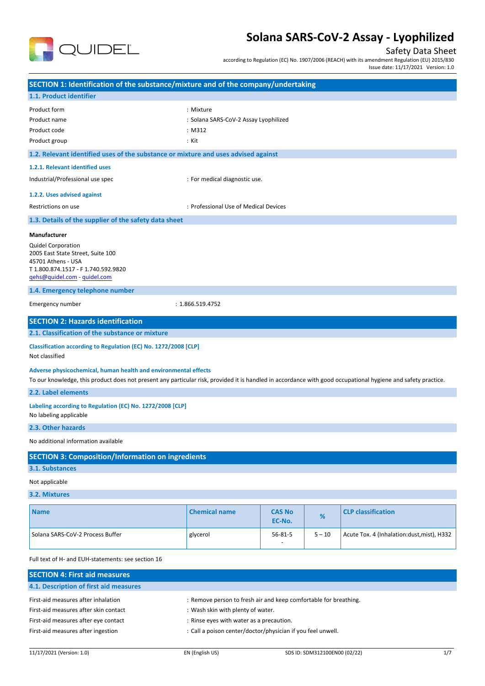

### Safety Data Sheet

according to Regulation (EC) No. 1907/2006 (REACH) with its amendment Regulation (EU) 2015/830 Issue date: 11/17/2021 Version: 1.0

**SECTION 1: Identification of the substance/mixture and of the company/undertaking 1.1. Product identifier** Product form : Nixture : Mixture : Mixture : Mixture : Mixture : Mixture : Mixture : Mixture : Mixture : Mixture : Mixture : Mixture : Mixture : Mixture : Mixture : Mixture : Mixture : Mixture : Mixture : Mixture : Mixture Product name **in the substitute of the SARS-CoV-2** Assay Lyophilized Product code : M312 Product group **Example 20** in the set of the set of the set of the set of the set of the set of the set of the set of the set of the set of the set of the set of the set of the set of the set of the set of the set of the s **1.2. Relevant identified uses of the substance or mixture and uses advised against 1.2.1. Relevant identified uses** Industrial/Professional use spec in the state of the set of the state of the state industrial diagnostic use. **1.2.2. Uses advised against** Restrictions on use : Professional Use of Medical Devices **1.3. Details of the supplier of the safety data sheet 1.4. Emergency telephone number** Emergency number : 1.866.519.4752 **SECTION 2: Hazards identification 2.1. Classification of the substance or mixture Classification according to Regulation (EC) No. 1272/2008 [CLP]** Not classified **Adverse physicochemical, human health and environmental effects** To our knowledge, this product does not present any particular risk, provided it is handled in accordance with good occupational hygiene and safety practice. **2.2. Label elements Labeling according to Regulation (EC) No. 1272/2008 [CLP]** No labeling applicable **2.3. Other hazards** No additional information available **SECTION 3: Composition/Information on ingredients 3.1. Substances** Not applicable **3.2. Mixtures Name Chemical name CAS No EC-No. % CLP classification** Solana SARS-CoV-2 Process Buffer and all structures and process and process in the structure of structures and structures are structured by the structure of structures and structure of structures and structure of structure -  $5 - 10$  Acute Tox. 4 (Inhalation: dust, mist), H332 Full text of H- and EUH-statements: see section 16 **SECTION 4: First aid measures 4.1. Description of first aid measures Manufacturer** Quidel Corporation 2005 East State Street, Suite 100 45701 Athens - USA T 1.800.874.1517 - F 1.740.592.9820 [qehs@quidel.com](mailto:qehs@quidel.com) - [quidel.com](http://quidel.com/)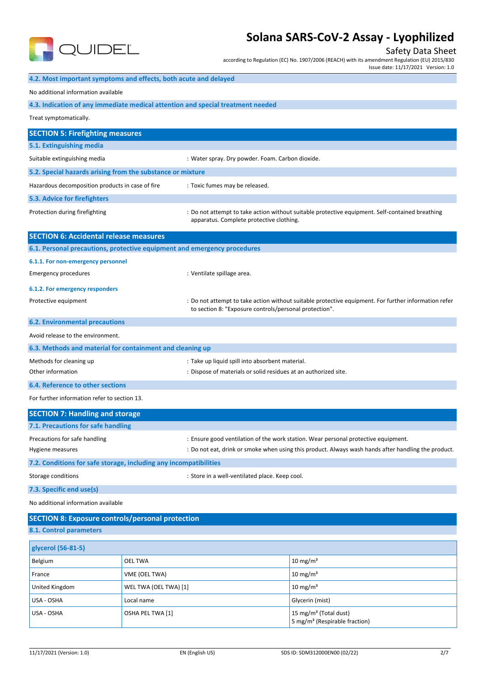

Safety Data Sheet

according to Regulation (EC) No. 1907/2006 (REACH) with its amendment Regulation (EU) 2015/830

Issue date: 11/17/2021 Version: 1.0

|                                                                                 |                       |                                                                 | Issue date: 11/1//2021 version: 1.0                                                                  |
|---------------------------------------------------------------------------------|-----------------------|-----------------------------------------------------------------|------------------------------------------------------------------------------------------------------|
| 4.2. Most important symptoms and effects, both acute and delayed                |                       |                                                                 |                                                                                                      |
| No additional information available                                             |                       |                                                                 |                                                                                                      |
| 4.3. Indication of any immediate medical attention and special treatment needed |                       |                                                                 |                                                                                                      |
| Treat symptomatically.                                                          |                       |                                                                 |                                                                                                      |
| <b>SECTION 5: Firefighting measures</b>                                         |                       |                                                                 |                                                                                                      |
| 5.1. Extinguishing media                                                        |                       |                                                                 |                                                                                                      |
| Suitable extinguishing media                                                    |                       | : Water spray. Dry powder. Foam. Carbon dioxide.                |                                                                                                      |
| 5.2. Special hazards arising from the substance or mixture                      |                       |                                                                 |                                                                                                      |
| Hazardous decomposition products in case of fire                                |                       | : Toxic fumes may be released.                                  |                                                                                                      |
| 5.3. Advice for firefighters                                                    |                       |                                                                 |                                                                                                      |
| Protection during firefighting                                                  |                       | apparatus. Complete protective clothing.                        | : Do not attempt to take action without suitable protective equipment. Self-contained breathing      |
| <b>SECTION 6: Accidental release measures</b>                                   |                       |                                                                 |                                                                                                      |
| 6.1. Personal precautions, protective equipment and emergency procedures        |                       |                                                                 |                                                                                                      |
| 6.1.1. For non-emergency personnel                                              |                       |                                                                 |                                                                                                      |
| <b>Emergency procedures</b>                                                     |                       | : Ventilate spillage area.                                      |                                                                                                      |
| 6.1.2. For emergency responders                                                 |                       |                                                                 |                                                                                                      |
| Protective equipment                                                            |                       | to section 8: "Exposure controls/personal protection".          | : Do not attempt to take action without suitable protective equipment. For further information refer |
| <b>6.2. Environmental precautions</b>                                           |                       |                                                                 |                                                                                                      |
| Avoid release to the environment.                                               |                       |                                                                 |                                                                                                      |
| 6.3. Methods and material for containment and cleaning up                       |                       |                                                                 |                                                                                                      |
| Methods for cleaning up                                                         |                       | : Take up liquid spill into absorbent material.                 |                                                                                                      |
| Other information                                                               |                       | : Dispose of materials or solid residues at an authorized site. |                                                                                                      |
| 6.4. Reference to other sections                                                |                       |                                                                 |                                                                                                      |
| For further information refer to section 13.                                    |                       |                                                                 |                                                                                                      |
| <b>SECTION 7: Handling and storage</b>                                          |                       |                                                                 |                                                                                                      |
| 7.1. Precautions for safe handling                                              |                       |                                                                 |                                                                                                      |
| Precautions for safe handling                                                   |                       |                                                                 | : Ensure good ventilation of the work station. Wear personal protective equipment.                   |
| Hygiene measures                                                                |                       |                                                                 | : Do not eat, drink or smoke when using this product. Always wash hands after handling the product.  |
| 7.2. Conditions for safe storage, including any incompatibilities               |                       |                                                                 |                                                                                                      |
| Storage conditions<br>: Store in a well-ventilated place. Keep cool.            |                       |                                                                 |                                                                                                      |
| 7.3. Specific end use(s)                                                        |                       |                                                                 |                                                                                                      |
| No additional information available                                             |                       |                                                                 |                                                                                                      |
| <b>SECTION 8: Exposure controls/personal protection</b>                         |                       |                                                                 |                                                                                                      |
| 8.1. Control parameters                                                         |                       |                                                                 |                                                                                                      |
| glycerol (56-81-5)                                                              |                       |                                                                 |                                                                                                      |
| Belgium                                                                         | OEL TWA               |                                                                 | $10 \text{ mg/m}^3$                                                                                  |
| France                                                                          | VME (OEL TWA)         |                                                                 | $10 \text{ mg/m}^3$                                                                                  |
| United Kingdom                                                                  | WEL TWA (OEL TWA) [1] |                                                                 | $10 \text{ mg/m}^3$                                                                                  |
| USA - OSHA                                                                      | Local name            |                                                                 | Glycerin (mist)                                                                                      |
| USA - OSHA                                                                      | OSHA PEL TWA [1]      |                                                                 | 15 mg/m <sup>3</sup> (Total dust)                                                                    |

5 mg/m<sup>3</sup> (Respirable fraction)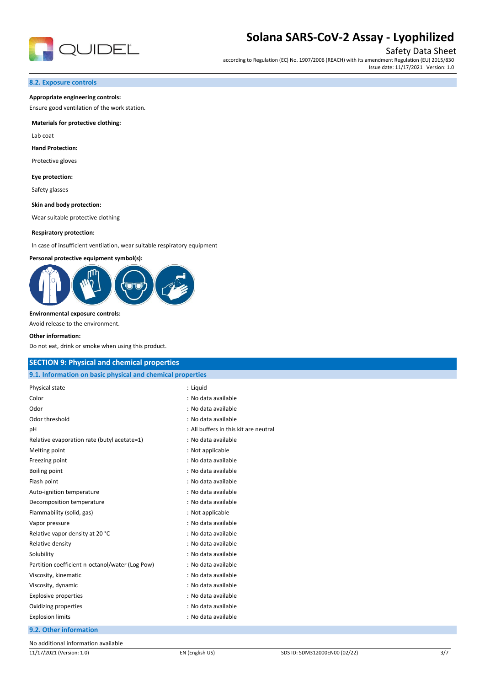

Safety Data Sheet

according to Regulation (EC) No. 1907/2006 (REACH) with its amendment Regulation (EU) 2015/830 Issue date: 11/17/2021 Version: 1.0

#### **8.2. Exposure controls**

#### **Appropriate engineering controls:**

Ensure good ventilation of the work station.

#### **Materials for protective clothing:**

Lab coat

#### **Hand Protection:**

Protective gloves

#### **Eye protection:**

Safety glasses

#### **Skin and body protection:**

Wear suitable protective clothing

#### **Respiratory protection:**

In case of insufficient ventilation, wear suitable respiratory equipment

#### **Personal protective equipment symbol(s):**



#### **Environmental exposure controls:**

Avoid release to the environment.

#### **Other information:**

Do not eat, drink or smoke when using this product.

| <b>SECTION 9: Physical and chemical properties</b>         |                                       |  |
|------------------------------------------------------------|---------------------------------------|--|
| 9.1. Information on basic physical and chemical properties |                                       |  |
| Physical state                                             | : Liquid                              |  |
| Color                                                      | : No data available                   |  |
| Odor                                                       | : No data available                   |  |
| Odor threshold                                             | : No data available                   |  |
| pH                                                         | : All buffers in this kit are neutral |  |
| Relative evaporation rate (butyl acetate=1)                | : No data available                   |  |
| Melting point                                              | : Not applicable                      |  |
| Freezing point                                             | : No data available                   |  |
| Boiling point                                              | : No data available                   |  |
| Flash point                                                | : No data available                   |  |
| Auto-ignition temperature                                  | : No data available                   |  |
| Decomposition temperature                                  | : No data available                   |  |
| Flammability (solid, gas)                                  | : Not applicable                      |  |
| Vapor pressure                                             | : No data available                   |  |
| Relative vapor density at 20 °C                            | : No data available                   |  |
| Relative density                                           | : No data available                   |  |
| Solubility                                                 | : No data available                   |  |
| Partition coefficient n-octanol/water (Log Pow)            | : No data available                   |  |
| Viscosity, kinematic                                       | : No data available                   |  |
| Viscosity, dynamic                                         | : No data available                   |  |
| <b>Explosive properties</b>                                | : No data available                   |  |
| Oxidizing properties                                       | : No data available                   |  |
| <b>Explosion limits</b>                                    | : No data available                   |  |
| 9.2. Other information                                     |                                       |  |
|                                                            |                                       |  |

No additional information available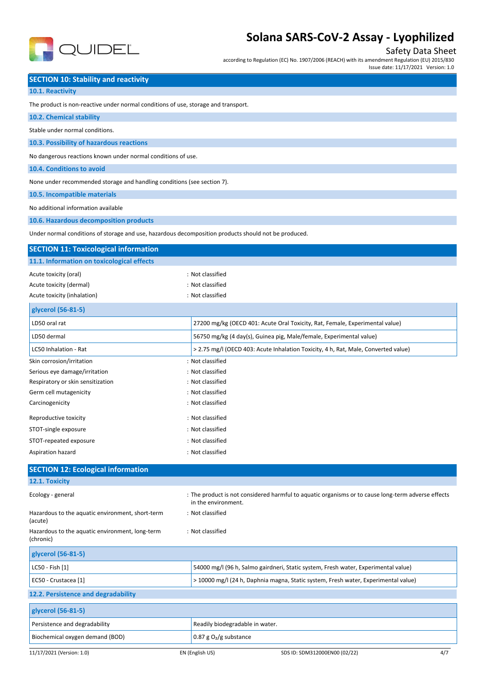

## Safety Data Sheet

according to Regulation (EC) No. 1907/2006 (REACH) with its amendment Regulation (EU) 2015/830

Issue date: 11/17/2021 Version: 1.0

## **SECTION 10: Stability and reactivity**

| 10.1. Reactivity |  |
|------------------|--|
|------------------|--|

The product is non-reactive under normal conditions of use, storage and transport.

| 10.2. Chemical stability                                                                             |                                                                                                                           |     |
|------------------------------------------------------------------------------------------------------|---------------------------------------------------------------------------------------------------------------------------|-----|
| Stable under normal conditions.                                                                      |                                                                                                                           |     |
| 10.3. Possibility of hazardous reactions                                                             |                                                                                                                           |     |
| No dangerous reactions known under normal conditions of use.                                         |                                                                                                                           |     |
| 10.4. Conditions to avoid                                                                            |                                                                                                                           |     |
| None under recommended storage and handling conditions (see section 7).                              |                                                                                                                           |     |
| 10.5. Incompatible materials                                                                         |                                                                                                                           |     |
| No additional information available                                                                  |                                                                                                                           |     |
| 10.6. Hazardous decomposition products                                                               |                                                                                                                           |     |
| Under normal conditions of storage and use, hazardous decomposition products should not be produced. |                                                                                                                           |     |
| <b>SECTION 11: Toxicological information</b>                                                         |                                                                                                                           |     |
| 11.1. Information on toxicological effects                                                           |                                                                                                                           |     |
| Acute toxicity (oral)                                                                                | : Not classified                                                                                                          |     |
| Acute toxicity (dermal)                                                                              | : Not classified                                                                                                          |     |
| Acute toxicity (inhalation)                                                                          | : Not classified                                                                                                          |     |
| glycerol (56-81-5)                                                                                   |                                                                                                                           |     |
| LD50 oral rat                                                                                        | 27200 mg/kg (OECD 401: Acute Oral Toxicity, Rat, Female, Experimental value)                                              |     |
| LD50 dermal                                                                                          | 56750 mg/kg (4 day(s), Guinea pig, Male/female, Experimental value)                                                       |     |
| LC50 Inhalation - Rat                                                                                | > 2.75 mg/l (OECD 403: Acute Inhalation Toxicity, 4 h, Rat, Male, Converted value)                                        |     |
| Skin corrosion/irritation                                                                            | : Not classified                                                                                                          |     |
| Serious eye damage/irritation                                                                        | : Not classified                                                                                                          |     |
| Respiratory or skin sensitization                                                                    | : Not classified                                                                                                          |     |
| Germ cell mutagenicity                                                                               | : Not classified                                                                                                          |     |
| Carcinogenicity                                                                                      | : Not classified                                                                                                          |     |
| Reproductive toxicity                                                                                | : Not classified                                                                                                          |     |
| STOT-single exposure                                                                                 | : Not classified                                                                                                          |     |
| STOT-repeated exposure                                                                               | : Not classified                                                                                                          |     |
| Aspiration hazard                                                                                    | : Not classified                                                                                                          |     |
| <b>SECTION 12: Ecological information</b>                                                            |                                                                                                                           |     |
| 12.1. Toxicity                                                                                       |                                                                                                                           |     |
| Ecology - general                                                                                    | : The product is not considered harmful to aquatic organisms or to cause long-term adverse effects<br>in the environment. |     |
| Hazardous to the aquatic environment, short-term<br>(acute)                                          | : Not classified                                                                                                          |     |
| Hazardous to the aquatic environment, long-term<br>(chronic)                                         | : Not classified                                                                                                          |     |
| glycerol (56-81-5)                                                                                   |                                                                                                                           |     |
| LC50 - Fish [1]                                                                                      | 54000 mg/l (96 h, Salmo gairdneri, Static system, Fresh water, Experimental value)                                        |     |
| EC50 - Crustacea [1]                                                                                 | > 10000 mg/l (24 h, Daphnia magna, Static system, Fresh water, Experimental value)                                        |     |
| 12.2. Persistence and degradability                                                                  |                                                                                                                           |     |
| glycerol (56-81-5)                                                                                   |                                                                                                                           |     |
| Persistence and degradability                                                                        | Readily biodegradable in water.                                                                                           |     |
| Biochemical oxygen demand (BOD)                                                                      | 0.87 g $O2/g$ substance                                                                                                   |     |
| 11/17/2021 (Version: 1.0)                                                                            | EN (English US)<br>SDS ID: SDM312000EN00 (02/22)                                                                          | 4/7 |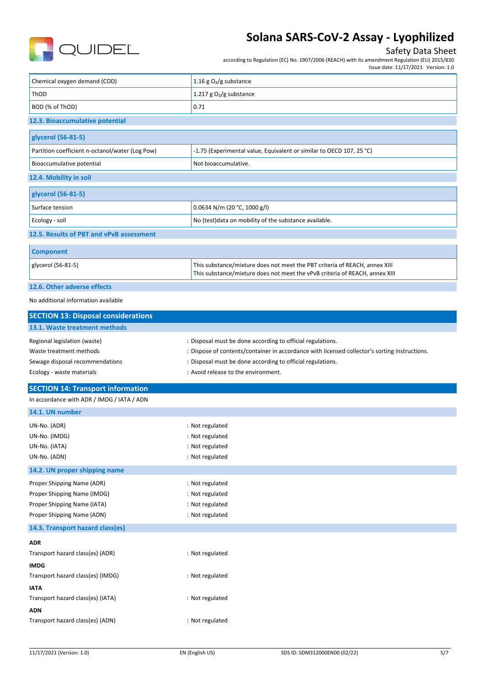

## Safety Data Sheet

according to Regulation (EC) No. 1907/2006 (REACH) with its amendment Regulation (EU) 2015/830

|                                                           | Issue date: 11/17/2021 Version: 1.0                                                                                                                       |
|-----------------------------------------------------------|-----------------------------------------------------------------------------------------------------------------------------------------------------------|
| Chemical oxygen demand (COD)                              | 1.16 g $O_2/g$ substance                                                                                                                                  |
| ThOD                                                      | 1.217 g $O2/g$ substance                                                                                                                                  |
| BOD (% of ThOD)                                           | 0.71                                                                                                                                                      |
| 12.3. Bioaccumulative potential                           |                                                                                                                                                           |
| glycerol (56-81-5)                                        |                                                                                                                                                           |
| Partition coefficient n-octanol/water (Log Pow)           | -1.75 (Experimental value, Equivalent or similar to OECD 107, 25 °C)                                                                                      |
| Bioaccumulative potential                                 | Not bioaccumulative.                                                                                                                                      |
| 12.4. Mobility in soil                                    |                                                                                                                                                           |
| glycerol (56-81-5)                                        |                                                                                                                                                           |
| Surface tension                                           | 0.0634 N/m (20 °C, 1000 g/l)                                                                                                                              |
| Ecology - soil                                            | No (test) data on mobility of the substance available.                                                                                                    |
| 12.5. Results of PBT and vPvB assessment                  |                                                                                                                                                           |
| <b>Component</b>                                          |                                                                                                                                                           |
| glycerol (56-81-5)                                        | This substance/mixture does not meet the PBT criteria of REACH, annex XIII<br>This substance/mixture does not meet the vPvB criteria of REACH, annex XIII |
| 12.6. Other adverse effects                               |                                                                                                                                                           |
| No additional information available                       |                                                                                                                                                           |
| <b>SECTION 13: Disposal considerations</b>                |                                                                                                                                                           |
| 13.1. Waste treatment methods                             |                                                                                                                                                           |
| Regional legislation (waste)                              | : Disposal must be done according to official regulations.                                                                                                |
| Waste treatment methods                                   | : Dispose of contents/container in accordance with licensed collector's sorting instructions.                                                             |
| Sewage disposal recommendations                           | : Disposal must be done according to official regulations.                                                                                                |
| Ecology - waste materials                                 | : Avoid release to the environment.                                                                                                                       |
| <b>SECTION 14: Transport information</b>                  |                                                                                                                                                           |
| In accordance with ADR / IMDG / IATA / ADN                |                                                                                                                                                           |
| 14.1. UN number                                           |                                                                                                                                                           |
| UN-No. (ADR)                                              | : Not regulated                                                                                                                                           |
| UN-No. (IMDG)                                             | : Not regulated                                                                                                                                           |
| UN-No. (IATA)                                             | : Not regulated                                                                                                                                           |
| UN-No. (ADN)                                              | : Not regulated                                                                                                                                           |
| 14.2. UN proper shipping name                             |                                                                                                                                                           |
| Proper Shipping Name (ADR)                                | : Not regulated                                                                                                                                           |
| Proper Shipping Name (IMDG)                               | : Not regulated                                                                                                                                           |
| Proper Shipping Name (IATA)<br>Proper Shipping Name (ADN) | : Not regulated<br>: Not regulated                                                                                                                        |
| 14.3. Transport hazard class(es)                          |                                                                                                                                                           |
|                                                           |                                                                                                                                                           |
| ADR<br>Transport hazard class(es) (ADR)                   | : Not regulated                                                                                                                                           |
| IMDG                                                      |                                                                                                                                                           |
| Transport hazard class(es) (IMDG)                         | : Not regulated                                                                                                                                           |
|                                                           |                                                                                                                                                           |
| ΙΑΤΑ<br>Transport hazard class(es) (IATA)                 | : Not regulated                                                                                                                                           |
| ADN                                                       |                                                                                                                                                           |
| Transport hazard class(es) (ADN)                          | : Not regulated                                                                                                                                           |
|                                                           |                                                                                                                                                           |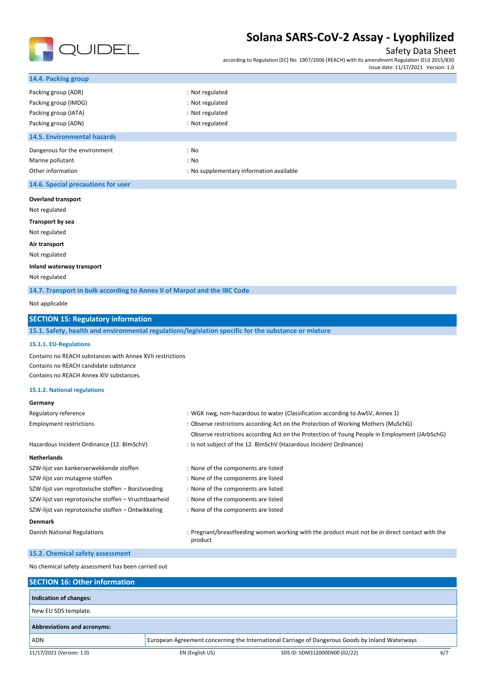

### Safety Data Sheet

according to Regulation (EC) No. 1907/2006 (REACH) with its amendment Regulation (EU) 2015/830 Issue date: 11/17/2021 Version: 1.0

| 14.4. Packing group                                                      |                                                                                                      |
|--------------------------------------------------------------------------|------------------------------------------------------------------------------------------------------|
| Packing group (ADR)                                                      | : Not regulated                                                                                      |
| Packing group (IMDG)                                                     | : Not regulated                                                                                      |
| Packing group (IATA)                                                     | : Not regulated                                                                                      |
| Packing group (ADN)                                                      | : Not regulated                                                                                      |
| <b>14.5. Environmental hazards</b>                                       |                                                                                                      |
| Dangerous for the environment                                            | : No                                                                                                 |
| Marine pollutant                                                         | : No                                                                                                 |
| Other information                                                        | : No supplementary information available                                                             |
| 14.6. Special precautions for user                                       |                                                                                                      |
| <b>Overland transport</b>                                                |                                                                                                      |
| Not regulated                                                            |                                                                                                      |
| <b>Transport by sea</b>                                                  |                                                                                                      |
| Not regulated                                                            |                                                                                                      |
| Air transport                                                            |                                                                                                      |
| Not regulated                                                            |                                                                                                      |
| Inland waterway transport                                                |                                                                                                      |
| Not regulated                                                            |                                                                                                      |
| 14.7. Transport in bulk according to Annex II of Marpol and the IBC Code |                                                                                                      |
| Not applicable                                                           |                                                                                                      |
| <b>SECTION 15: Regulatory information</b>                                |                                                                                                      |
|                                                                          | 15.1. Safety, health and environmental regulations/legislation specific for the substance or mixture |
| 15.1.1. EU-Regulations                                                   |                                                                                                      |
| Contains no REACH substances with Annex XVII restrictions                |                                                                                                      |
| Contains no REACH candidate substance                                    |                                                                                                      |
| Contains no REACH Annex XIV substances.                                  |                                                                                                      |
| 15.1.2. National regulations                                             |                                                                                                      |
| Germany                                                                  |                                                                                                      |
| Regulatory reference                                                     | : WGK nwg, non-hazardous to water (Classification according to AwSV, Annex 1)                        |
| <b>Employment restrictions</b>                                           | : Observe restrictions according Act on the Protection of Working Mothers (MuSchG)                   |
|                                                                          | Observe restrictions according Act on the Protection of Young People in Employment (JArbSchG)        |
| Hazardous Incident Ordinance (12. BImSchV)                               | : Is not subject of the 12. BlmSchV (Hazardous Incident Ordinance)                                   |
| <b>Netherlands</b>                                                       |                                                                                                      |
| SZW-lijst van kankerverwekkende stoffen                                  | : None of the components are listed                                                                  |
| SZW-lijst van mutagene stoffen                                           | : None of the components are listed                                                                  |
| SZW-lijst van reprotoxische stoffen - Borstvoeding                       | : None of the components are listed                                                                  |
| SZW-lijst van reprotoxische stoffen - Vruchtbaarheid                     | : None of the components are listed                                                                  |

#### **Denmark**

Danish National Regulations **included in the state of the product measure of the product must not be in direct contact with the** product

#### **15.2. Chemical safety assessment**

No chemical safety assessment has been carried out

SZW-lijst van reprotoxische stoffen – Ontwikkeling : None of the components are listed

| <b>SECTION 16: Other information</b> |                 |                                                                                                 |     |
|--------------------------------------|-----------------|-------------------------------------------------------------------------------------------------|-----|
|                                      |                 |                                                                                                 |     |
| Indication of changes:               |                 |                                                                                                 |     |
| New EU SDS template.                 |                 |                                                                                                 |     |
| <b>Abbreviations and acronyms:</b>   |                 |                                                                                                 |     |
| <b>ADN</b>                           |                 | European Agreement concerning the International Carriage of Dangerous Goods by Inland Waterways |     |
| 11/17/2021 (Version: 1.0)            | EN (English US) | SDS ID: SDM312000EN00 (02/22)                                                                   | 6/7 |